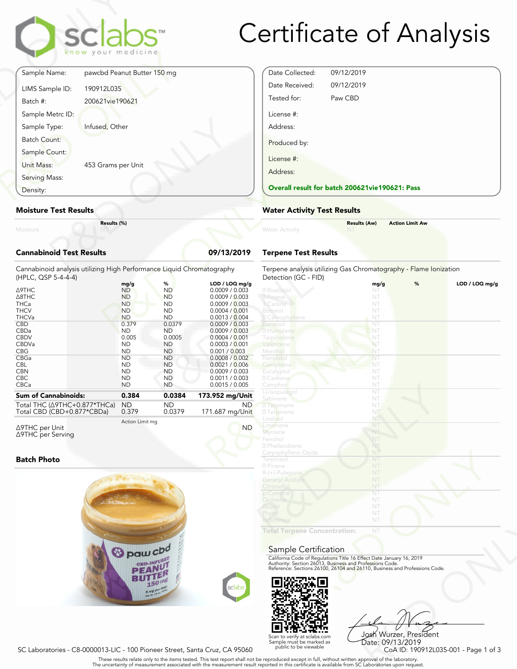

# Certificate of Analysis

|                                 | sclabs<br>know your medicine |            |
|---------------------------------|------------------------------|------------|
| Sample Name:                    | pawcbd Peanut Butter 150 mg  |            |
| LIMS Sample ID:                 | 190912L035                   |            |
| Batch #:                        | 200621vie190621              |            |
| Sample Metrc ID:                |                              |            |
| Sample Type:                    | Infused, Other               |            |
| <b>Batch Count:</b>             |                              |            |
| Sample Count:                   |                              |            |
| Unit Mass:                      | 453 Grams per Unit           |            |
| Serving Mass:                   |                              |            |
| Density:                        |                              |            |
| <b>Moisture Test Results</b>    |                              |            |
| Moisture                        | Results (%)                  |            |
| <b>Cannabinoid Test Results</b> |                              | 09/13/2019 |

#### **Moisture Test Results**

#### **Cannabinoid Test Results 09/13/2019**

| Density:                                                                                              | <b>Overall result for batc</b>                                        |                                                                    |                                                                                                          |                                                                          |
|-------------------------------------------------------------------------------------------------------|-----------------------------------------------------------------------|--------------------------------------------------------------------|----------------------------------------------------------------------------------------------------------|--------------------------------------------------------------------------|
| <b>Moisture Test Results</b>                                                                          | <b>Water Activity Test R</b>                                          |                                                                    |                                                                                                          |                                                                          |
| Moisture                                                                                              | Results (%)                                                           |                                                                    |                                                                                                          | <b>Water Activity</b>                                                    |
| <b>Cannabinoid Test Results</b>                                                                       |                                                                       |                                                                    | 09/13/2019                                                                                               | <b>Terpene Test Results</b>                                              |
| Cannabinoid analysis utilizing High Performance Liquid Chromatography<br>(HPLC, QSP 5-4-4-4)          |                                                                       |                                                                    |                                                                                                          | Terpene analysis utilizing<br>Detection (GC - FID)                       |
| Δ9THC<br>$\triangle$ 8THC<br><b>THCa</b><br><b>THCV</b><br><b>THCVa</b>                               | mg/g<br><b>ND</b><br><b>ND</b><br><b>ND</b><br><b>ND</b><br><b>ND</b> | %<br><b>ND</b><br><b>ND</b><br><b>ND</b><br><b>ND</b><br><b>ND</b> | LOD / LOQ mg/g<br>0.0009 / 0.003<br>0.0009 / 0.003<br>0.0009 / 0.003<br>0.0004 / 0.001<br>0.0013 / 0.004 | 2 Bisabolol<br>2 Pinene<br>3 Carene<br>Borneol<br><b>Z</b> Caryophyllene |
| <b>CBD</b><br>CBDa<br><b>CBDV</b><br>CBDVa<br><b>CBG</b>                                              | 0.379<br><b>ND</b><br>0.005<br><b>ND</b><br><b>ND</b>                 | 0.0379<br><b>ND</b><br>0.0005<br><b>ND</b><br><b>ND</b>            | 0.0009 / 0.003<br>0.0009 / 0.003<br>0.0004 / 0.001<br>0.0003 / 0.001<br>0.001 / 0.003                    | Geranio<br>2 Humulene<br>Terpinolene<br>Valencene<br>Menthol             |
| CBGa<br><b>CBL</b><br><b>CBN</b><br><b>CBC</b><br>CBCa                                                | <b>ND</b><br><b>ND</b><br><b>ND</b><br><b>ND</b><br><b>ND</b>         | <b>ND</b><br><b>ND</b><br><b>ND</b><br><b>ND</b><br><b>ND</b>      | 0.0008 / 0.002<br>0.0021 / 0.006<br>0.0009 / 0.003<br>0.0011 / 0.003<br>0.0015 / 0.005                   | Nerolidol<br>Camphene<br>Eucalyptol<br>2 Cedrene<br>Camphor              |
| <b>Sum of Cannabinoids:</b><br>Total THC ( $\triangle$ 9THC+0.877*THCa)<br>Total CBD (CBD+0.877*CBDa) | 0.384<br><b>ND</b><br>0.379                                           | 0.0384<br><b>ND</b><br>0.0379                                      | 173.952 mg/Unit<br>ND.<br>171.687 mg/Unit                                                                | (-)-Isopulegol<br>Sabinene<br><b>7</b> Terpinene<br><b>27</b> Terpinene  |
|                                                                                                       |                                                                       |                                                                    |                                                                                                          | $\ln 200$                                                                |

Δ9THC per Unit Δ9THC per Serving Action Limit mg

## **Batch Photo**



| Date Collected:        | 09/12/2019                                     |
|------------------------|------------------------------------------------|
| Date Received:         | 09/12/2019                                     |
| Tested for:            | Paw CBD                                        |
| License #:<br>Address: |                                                |
| Produced by:           |                                                |
| License #:             |                                                |
| Address:               |                                                |
|                        | Overall result for batch 200621vie190621: Pass |

## **Water Activity Test Results**

| <b>Water Activity</b> | <b>Results (Aw)</b><br><b>NT</b> | <b>Action Limit Aw</b> |  |
|-----------------------|----------------------------------|------------------------|--|
|                       |                                  |                        |  |

## **Terpene Test Results**

| atography      | Terpene analysis utilizing Gas Chromatography - Flame Ionization<br>Detection (GC - FID)                                               |      |   |                |
|----------------|----------------------------------------------------------------------------------------------------------------------------------------|------|---|----------------|
| LOD / LOQ mg/g |                                                                                                                                        | mg/g | % | LOD / LOQ mq/q |
| 0.0009 / 0.003 | 2 Bisabolol                                                                                                                            | NT   |   |                |
| 0.0009 / 0.003 | 2 Pinene                                                                                                                               | NT   |   |                |
| 0.0009 / 0.003 | 3 Carene                                                                                                                               | NT   |   |                |
| 0.0004 / 0.001 | Borneol                                                                                                                                | NT   |   |                |
| 0.0013 / 0.004 | <b>Z</b> Caryophyllene                                                                                                                 | NT   |   |                |
| 0.0009 / 0.003 | Geraniol                                                                                                                               | NT   |   |                |
| 0.0009 / 0.003 | 2 Humulene                                                                                                                             | NT   |   |                |
| 0.0004 / 0.001 | Terpinolene                                                                                                                            | NT   |   |                |
| 0.0003 / 0.001 | Valencene                                                                                                                              | NT   |   |                |
| 0.001 / 0.003  | Menthol                                                                                                                                | NT   |   |                |
| 0.0008 / 0.002 | Nerolidol                                                                                                                              | NT   |   |                |
| 0.0021 / 0.006 | Camphene                                                                                                                               | NT   |   |                |
| 0.0009 / 0.003 | Eucalyptol                                                                                                                             | NT   |   |                |
| 0.0011 / 0.003 | 2 Cedrene                                                                                                                              | NT   |   |                |
| 0.0015 / 0.005 | Camphor                                                                                                                                | NT   |   |                |
|                | (-)-Isopulegol                                                                                                                         | NT   |   |                |
| 3.952 mg/Unit  | Sabinene                                                                                                                               | NT   |   |                |
| ND.            | <b>7</b> Terpinene                                                                                                                     | NT.  |   |                |
| 71.687 mg/Unit | <b>27 Terpinene</b>                                                                                                                    | NT   |   |                |
|                | Linalool                                                                                                                               | NT   |   |                |
| <b>ND</b>      | Limonene                                                                                                                               | NT   |   |                |
|                | <b>Myrcene</b>                                                                                                                         | NT   |   |                |
|                | Fenchol                                                                                                                                | NT   |   |                |
|                | 2 Phellandrene                                                                                                                         | NT   |   |                |
|                | Caryophyllene Oxide                                                                                                                    | NT   |   |                |
|                | Terpineol                                                                                                                              | NT   |   |                |
|                | 2 Pinene                                                                                                                               | NT   |   |                |
|                | R-(+)-Pulegone                                                                                                                         | NT   |   |                |
|                | <b>Geranyl Acetate</b>                                                                                                                 | NT   |   |                |
|                | Citronellol                                                                                                                            | NT   |   |                |
|                | p-Cymene                                                                                                                               | NT   |   |                |
|                | Ocimene                                                                                                                                | NT   |   |                |
|                | Guaiol                                                                                                                                 | NT   |   |                |
|                | Phytol                                                                                                                                 | NT   |   |                |
|                | <b>Isoborneo</b>                                                                                                                       | NT   |   |                |
|                | <b>Total Terpene Concentration:</b>                                                                                                    | NT   |   |                |
|                | Sample Certification                                                                                                                   |      |   |                |
|                | California Code of Regulations Title 16 Effect Date January 16, 2019                                                                   |      |   |                |
|                | Authority: Section 26013, Business and Professions Code.<br>Reference: Sections 26100, 26104 and 26110, Business and Professions Code. |      |   |                |
|                |                                                                                                                                        |      |   |                |
| sclabs         |                                                                                                                                        |      |   |                |
|                |                                                                                                                                        |      |   |                |
|                |                                                                                                                                        |      |   |                |

#### Sample Certification



NT<br>
NT<br>
Fect Date January 16, 2019<br>
rofessions Code.<br>
9110, Business and Professions Code.<br>
9110, Business and Professions Code.<br>
Josh Wurzer, President<br>
Date: 09/13/2019<br>
CoA ID: 190912L035-001 - Page 1 of 3<br>
pproval of t Josh Wurzer, President Date: 09/13/2019

SC Laboratories - C8-0000013-LIC - 100 Pioneer Street, Santa Cruz, CA 95060

. These results relate only to the items tested. This test report shall not be reproduced except in full, without written approval of the laboratory.<br>The uncertainty of measurement associated with the measurement result re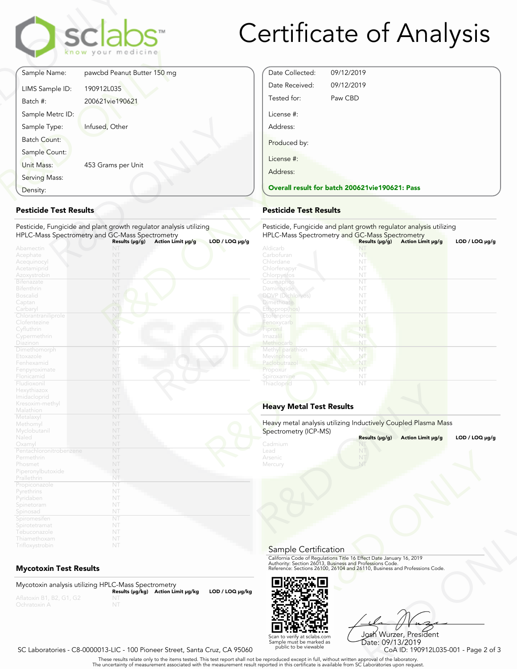

## Certificate of Analysis

Date Collected: 09/12/2019 Date Received: 09/12/2019 Tested for: Paw CBD

**Overall result for batch 200621vie190621: Pass**

Pesticide, Fungicide and plant growth regulator analysis utilizing

License #: Address:

Produced by:

License #: Address:

| Sample Name:<br>LIMS Sample ID: | pawcbd Peanut Butter 150 mg |
|---------------------------------|-----------------------------|
|                                 |                             |
|                                 | 190912L035                  |
| Batch #:                        | 200621vie190621             |
| Sample Metrc ID:                |                             |
| Sample Type:                    | Infused, Other              |
| <b>Batch Count:</b>             |                             |
| Sample Count:                   |                             |
| Unit Mass:                      | 453 Grams per Unit          |
| Serving Mass:                   |                             |
| Density:                        |                             |

## **Pesticide Test Results**

| Density:                          |                                                                    | <b>Overall result for batc</b> |
|-----------------------------------|--------------------------------------------------------------------|--------------------------------|
| <b>Pesticide Test Results</b>     |                                                                    | <b>Pesticide Test Results</b>  |
|                                   | Pesticide, Fungicide and plant growth regulator analysis utilizing | Pesticide, Fungicide and       |
|                                   | HPLC-Mass Spectrometry and GC-Mass Spectrometry                    | <b>HPLC-Mass Spectrometry</b>  |
|                                   | $LOD / LOQ \mu g/g$<br>Action Limit µg/g<br>Results $(\mu g/g)$    |                                |
| Abamectin                         | NT                                                                 | Aldicarb                       |
| Acephate                          | NT                                                                 | Carbofuran                     |
| Acequinocyl                       | NT                                                                 | Chlordane                      |
| Acetamiprid                       | NT                                                                 | Chlorfenapyr                   |
| Azoxystrobin                      | NT                                                                 | Chlorpyrifos                   |
| <b>Bifenazate</b>                 | NT                                                                 | Coumaphos                      |
| <b>Bifenthrin</b>                 | NT                                                                 | Daminozide                     |
| <b>Boscalid</b>                   | NT                                                                 | <b>DDVP</b> (Dichlorvos)       |
| Captan                            | NT                                                                 | <b>Dimethoate</b>              |
| Carbaryl                          | NT                                                                 | Ethoprop(hos)                  |
| Chlorantraniliprole               | NT                                                                 | Etofenprox                     |
| Clofentezine                      | NT                                                                 | Fenoxycarb                     |
| Cyfluthrin                        | NT.                                                                | Fipronil                       |
| Cypermethrin                      | NT                                                                 | Imaza i                        |
| Diazinon                          | NT                                                                 | Methiocarb                     |
| Dimethomorph                      | NT                                                                 | Methyl parathion               |
| Etoxazole                         | NT                                                                 | Mevinphos                      |
| Fenhexamid                        | NT                                                                 | Paclobutrazo                   |
| Fenpyroximate                     | NT                                                                 | Propoxur                       |
| Flonicamid                        | NT                                                                 | Spiroxamine                    |
| Fludioxonil                       | NT                                                                 | Thiacloprid                    |
| Hexythiazox                       | NT                                                                 |                                |
| Imidacloprid                      | NT                                                                 |                                |
| Kresoxim-methyl                   | NT                                                                 | <b>Heavy Metal Test Res</b>    |
| Malathion                         | NT                                                                 |                                |
| Metalaxyl                         | NT                                                                 | Heavy metal analysis utiliz    |
| Methomyl                          | NT                                                                 |                                |
| Myclobutanil                      | NT                                                                 | Spectrometry (ICP-MS)          |
| Naled                             | NT                                                                 |                                |
| Oxamyl<br>Pentachloronitrobenzene | NT<br>NT                                                           | Cadmium<br>Lead                |
| Permethrin                        | NT                                                                 | Arsenic                        |
|                                   | NT                                                                 |                                |
| Phosmet                           | NT                                                                 | Mercury                        |
| Piperonylbutoxide                 | NT                                                                 |                                |
| Prallethrin                       | NT                                                                 |                                |
| Propiconazole                     | NT                                                                 |                                |
| Pyrethrins                        | NT                                                                 |                                |
| Pyridaben                         | NT                                                                 |                                |
| Spinetoram                        | NT                                                                 |                                |
| Spinosad                          | NT                                                                 |                                |
| Spiromesifen                      | NT                                                                 |                                |
| Spirotetramat                     | NT                                                                 |                                |
| Tebuconazole<br>Thiamethoxam      | NT                                                                 |                                |
|                                   |                                                                    |                                |
| Trifloxystrobin                   | NT                                                                 |                                |

## **Mycotoxin Test Results**

Mycotoxin analysis utilizing HPLC-Mass Spectrometry **Results (μg/kg) Action Limit μg/kg LOD / LOQ μg/kg** NT



Frect Date January 16, 2019<br>
Trofessions Code.<br>
110, Business and Professions Code.<br>
110, Business and Professions Code.<br>
108 Wurzer, President<br>
Date: 09/13/2019<br>
CoA ID: 190912L035-001 - Page 2 of 3<br>
pproval of the labora Josh Wurzer, President Date: 09/13/2019

#### SC Laboratories - C8-0000013-LIC - 100 Pioneer Street, Santa Cruz, CA 95060

. These results relate only to the items tested. This test report shall not be reproduced except in full, without written approval of the laboratory.<br>The uncertainty of measurement associated with the measurement result re

Scan to verify at sclabs.com Sample must be marked as public to be viewable

| $LOD / LOQ \mu g/g$ | HPLC-Mass Spectrometry and GC-Mass Spectrometry                | Results $(\mu g/g)$ |                   |                     |
|---------------------|----------------------------------------------------------------|---------------------|-------------------|---------------------|
|                     | Aldicarb                                                       | NT                  | Action Limit µg/g | $LOD / LOQ \mu g/g$ |
|                     | Carbofuran                                                     | NT                  |                   |                     |
|                     | Chlordane                                                      | NT                  |                   |                     |
|                     | Chlorfenapyr                                                   | NT                  |                   |                     |
|                     | Chlorpyrifos                                                   | NT                  |                   |                     |
|                     | Coumaphos                                                      | NT                  |                   |                     |
|                     | <b>Daminozide</b>                                              | NT                  |                   |                     |
|                     | <b>DDVP</b> (Dichlorvos)                                       | NT                  |                   |                     |
|                     | <b>Dimethoate</b>                                              | NT                  |                   |                     |
|                     | Ethoprop(hos)                                                  | NT                  |                   |                     |
|                     | Etofenprox                                                     | NT                  |                   |                     |
|                     | Fenoxycarb                                                     | NT                  |                   |                     |
|                     | Fipronil                                                       | NT                  |                   |                     |
|                     | Imazalil                                                       | NT                  |                   |                     |
|                     | Methiocarb                                                     | NT                  |                   |                     |
|                     | Methyl parathion                                               | NT                  |                   |                     |
|                     | Mevinphos                                                      | NT                  |                   |                     |
|                     | Paclobutrazol                                                  | NT                  |                   |                     |
|                     | Propoxur                                                       | NT                  |                   |                     |
|                     | Spiroxamine                                                    | NT                  |                   |                     |
|                     | Thiacloprid                                                    | NT                  |                   |                     |
|                     | <b>Heavy Metal Test Results</b>                                |                     |                   |                     |
|                     | Heavy metal analysis utilizing Inductively Coupled Plasma Mass |                     |                   |                     |
|                     | Spectrometry (ICP-MS)                                          |                     |                   |                     |
|                     |                                                                | Results (µg/g)      | Action Limit µg/g | $LOD / LOQ \mu g/g$ |
|                     | Cadmium                                                        |                     |                   |                     |
|                     | Lead                                                           |                     |                   |                     |
|                     | Arsenic                                                        |                     |                   |                     |
|                     | Mercury                                                        | NT                  |                   |                     |

## **Heavy Metal Test Results**

| Results (µg/g)<br>Action Limit µg/g<br>NT<br>NT<br>МĪ | $LOD / LOQ \mu g/g$                                                                                                                                                                                                                    |
|-------------------------------------------------------|----------------------------------------------------------------------------------------------------------------------------------------------------------------------------------------------------------------------------------------|
|                                                       |                                                                                                                                                                                                                                        |
|                                                       |                                                                                                                                                                                                                                        |
|                                                       |                                                                                                                                                                                                                                        |
|                                                       |                                                                                                                                                                                                                                        |
|                                                       | Sample Certification<br>California Code of Regulations Title 16 Effect Date January 16, 2019<br>Authority: Section 26013, Business and Professions Code.<br>Reference: Sections 26100, 26104 and 26110, Business and Professions Code. |